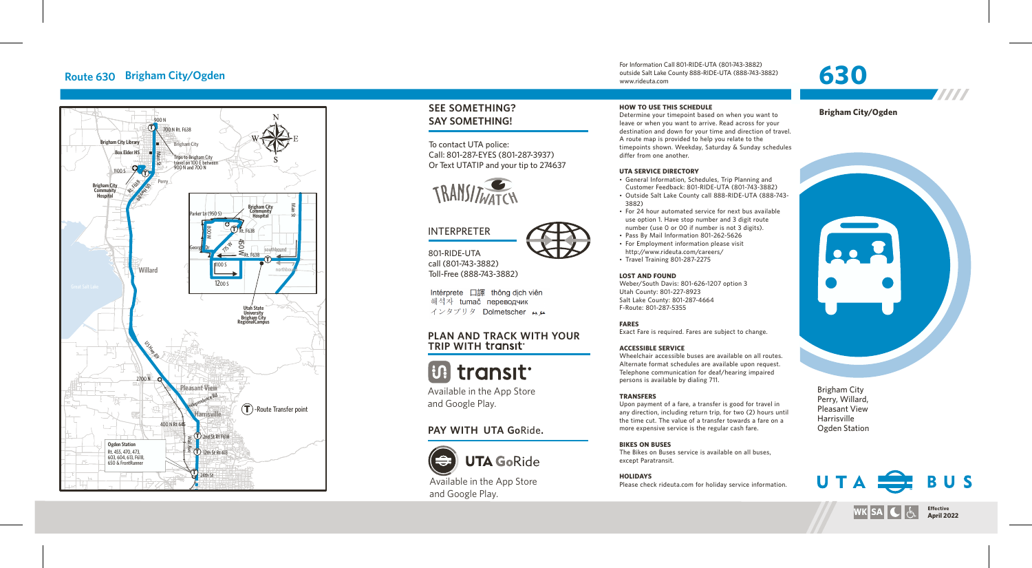# **Route 630 Brigham Cit y/Ogden**



# **SEE SOMETHING? S AY SOMETHING!**

To contact UTA police: Call: 801-287-EYES (801-287-3937) Or Text UTATIP and your tip to 2 746 3 7



# INTERPRETER

80 1-RIDE-UTA call (80 1 -743-3882) Toll-F ree (888-743-3882)

Intérprete 口譯 thông dịch viên 해석자 tumač переводчик インタプリタ Dolmetscher メル

### WITH YOUR **TRIP WITH**

# **B** transit

A vailable in the App Stor e and Google Pla

# PAY WITH UTA GoRide.



and Google Pla y.

#### **HOW TO USE THIS SCHEDULE**

For Information Call 801-RIDE-UTA (801-743-3882) outside Salt Lake County 888-RIDE-UTA (888-743-3882)

Determine your timepoint based on when you want leave or when you want to arrive. Read across for your destination and down for your time and direction of travel. A route map is provided to help you relate to the timepoints shown. Weekday, Saturday & Sunday schedules differ from one another.

#### **UTA SERVICE DIRECTO RY**

www.rideuta. com

- General Information, Schedules, Trip Planning and Customer Feedback: 801-RIDE-UTA (801-743-3882)
- Outside Salt Lake County call 888-RIDE-UTA (888-743-3 8 8 2 )
- For 24 hour automated service for next bus available use option 1. Have stop number and 3 digit route
- number (use 0 or 00 if number is not 3 digits). • Pass By Mail Information 801-262-5626
- For Employment information please visit http://www.rideuta.com/careers/
- $\cdot$  Travel Training 801-287-2275

#### **LOST AND FOUND**

Weber/South Davis: 801-626-1207 option 3 Utah County: 801-227-8923 Salt Lake County: 801-287-4664 F-Route: 801-287-5355

#### **FARES**

Exact Fare is required. Fares are subject to change.

#### **ACCESSIBLE SERVICE**

Wheelchair accessible buses are available on all routes. Alternate format schedules are available upon request. Telephone communication for deaf/hearing impaired persons is available by dialing 711.

#### **TRANSFERS**

Upon payment of a fare, a transfer is good for travel in<br>any direction, including return trip, for two (2) hours until the time cut. The value of a transfer towards a fare on a more expensive service is the regular cash fare.

#### **BIKES ON BUSES**

The Bikes on Buses service is available on all buses, except Paratransit.

**HOLIDAYS** Please check rideuta.com for holiday service informatio

## **Brigham City/Ogden**

7777

**30** 



Brigham Cit y Perry, Willard, Pleasant Vie w Harrisville Ogden Station